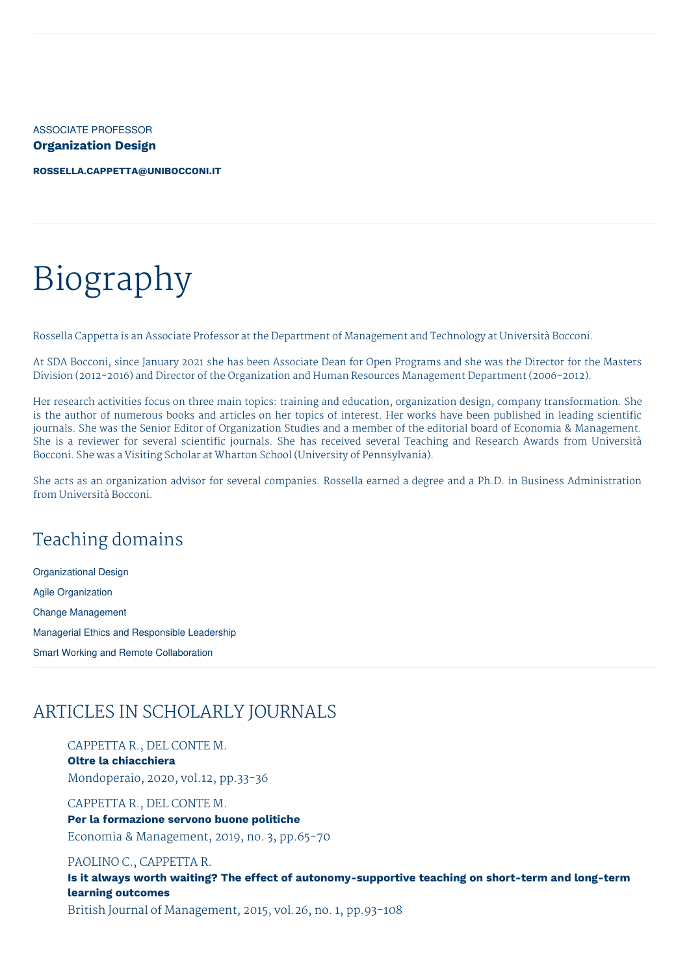ASSOCIATE PROFESSOR **Organization Design**

**[ROSSELLA.CAPPETTA@UNIBOCCONI.IT](mailto:rossella.cappetta@unibocconi.it)**

# Biography

Rossella Cappetta is an Associate Professor at the Department of Management and Technology at Università Bocconi.

At SDA Bocconi, since January 2021 she has been Associate Dean for Open Programs and she was the Director for the Masters Division (2012-2016) and Director of the Organization and Human Resources Management Department (2006-2012).

Her research activities focus on three main topics: training and education, organization design, company transformation. She is the author of numerous books and articles on her topics of interest. Her works have been published in leading scientific journals. She was the Senior Editor of Organization Studies and a member of the editorial board of Economia & Management. She is a reviewer for several scientific journals. She has received several Teaching and Research Awards from Università Bocconi. She was a Visiting Scholar at Wharton School (University of Pennsylvania).

She acts as an organization advisor for several companies. Rossella earned a degree and a Ph.D. in Business Administration from Università Bocconi.

## Teaching domains

Organizational Design Agile Organization Change Management Managerial Ethics and Responsible Leadership Smart Working and Remote Collaboration

## ARTICLES IN SCHOLARLY JOURNALS

CAPPETTA R., DEL CONTE M. **Oltre la chiacchiera** Mondoperaio, 2020, vol.12, pp.33-36

CAPPETTA R., DEL CONTE M. **Per la formazione servono buone politiche** Economia & Management, 2019, no. 3, pp.65-70

PAOLINO C., CAPPETTA R. **Is it always worth waiting? The effect of autonomy-supportive teaching on short-term and long-term learning outcomes** British Journal of Management, 2015, vol.26, no. 1, pp.93-108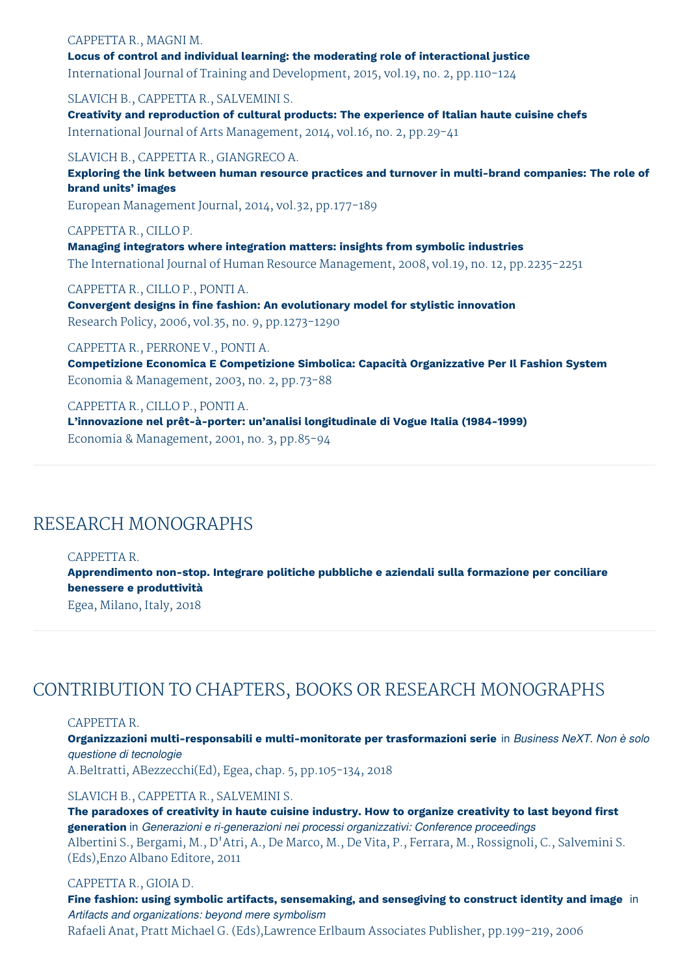#### CAPPETTA R., MAGNI M. **Locus of control and individual learning: the moderating role of interactional justice** International Journal of Training and Development, 2015, vol.19, no. 2, pp.110-124

SLAVICH B., CAPPETTA R., SALVEMINI S. **Creativity and reproduction of cultural products: The experience of Italian haute cuisine chefs** International Journal of Arts Management, 2014, vol.16, no. 2, pp.29-41

SLAVICH B., CAPPETTA R., GIANGRECO A. **Exploring the link between human resource practices and turnover in multi-brand companies: The role of brand units' images**

European Management Journal, 2014, vol.32, pp.177-189

CAPPETTA R., CILLO P. **Managing integrators where integration matters: insights from symbolic industries** The International Journal of Human Resource Management, 2008, vol.19, no. 12, pp.2235-2251

CAPPETTA R., CILLO P., PONTI A. **Convergent designs in fine fashion: An evolutionary model for stylistic innovation** Research Policy, 2006, vol.35, no. 9, pp.1273-1290

CAPPETTA R., PERRONE V., PONTI A. **Competizione Economica E Competizione Simbolica: Capacità Organizzative Per Il Fashion System** Economia & Management, 2003, no. 2, pp.73-88

CAPPETTA R., CILLO P., PONTI A. **L'innovazione nel prêt-à-porter: un'analisi longitudinale di Vogue Italia (1984-1999)** Economia & Management, 2001, no. 3, pp.85-94

## RESEARCH MONOGRAPHS

CAPPETTA R.

**Apprendimento non-stop. Integrare politiche pubbliche e aziendali sulla formazione per conciliare benessere e produttività**

Egea, Milano, Italy, 2018

# CONTRIBUTION TO CHAPTERS, BOOKS OR RESEARCH MONOGRAPHS

CAPPETTA R.

**Organizzazioni multi-responsabili e multi-monitorate per trasformazioni serie** in *Business NeXT. Non è solo questione di tecnologie*

A.Beltratti, ABezzecchi(Ed), Egea, chap. 5, pp.105-134, 2018

SLAVICH B., CAPPETTA R., SALVEMINI S.

**The paradoxes of creativity in haute cuisine industry. How to organize creativity to last beyond first generation** in *Generazioni e ri-generazioni nei processi organizzativi: Conference proceedings* Albertini S., Bergami, M., D'Atri, A., De Marco, M., De Vita, P., Ferrara, M., Rossignoli, C., Salvemini S. (Eds),Enzo Albano Editore, 2011

#### CAPPETTA R., GIOIA D.

**Fine fashion: using symbolic artifacts, sensemaking, and sensegiving to construct identity and image** in *Artifacts and organizations: beyond mere symbolism* Rafaeli Anat, Pratt Michael G. (Eds),Lawrence Erlbaum Associates Publisher, pp.199-219, 2006